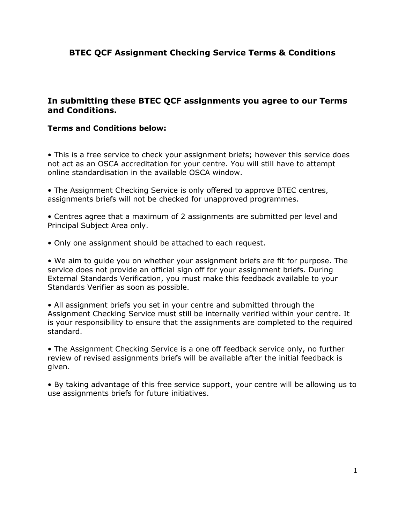## **In submitting these BTEC QCF assignments you agree to our Terms and Conditions.**

#### **Terms and Conditions below:**

• This is a free service to check your assignment briefs; however this service does not act as an OSCA accreditation for your centre. You will still have to attempt online standardisation in the available OSCA window.

• The Assignment Checking Service is only offered to approve BTEC centres, assignments briefs will not be checked for unapproved programmes.

• Centres agree that a maximum of 2 assignments are submitted per level and Principal Subject Area only.

• Only one assignment should be attached to each request.

• We aim to guide you on whether your assignment briefs are fit for purpose. The service does not provide an official sign off for your assignment briefs. During External Standards Verification, you must make this feedback available to your Standards Verifier as soon as possible.

• All assignment briefs you set in your centre and submitted through the Assignment Checking Service must still be internally verified within your centre. It is your responsibility to ensure that the assignments are completed to the required standard.

• The Assignment Checking Service is a one off feedback service only, no further review of revised assignments briefs will be available after the initial feedback is given.

• By taking advantage of this free service support, your centre will be allowing us to use assignments briefs for future initiatives.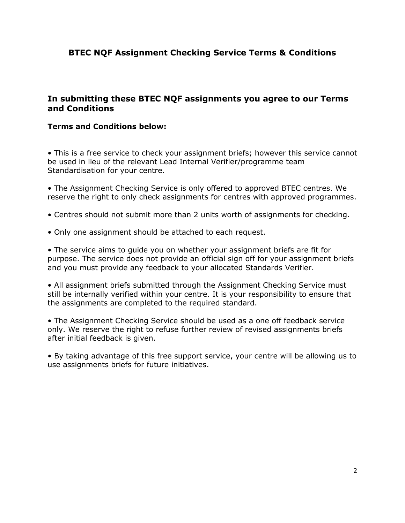## **In submitting these BTEC NQF assignments you agree to our Terms and Conditions**

#### **Terms and Conditions below:**

• This is a free service to check your assignment briefs; however this service cannot be used in lieu of the relevant Lead Internal Verifier/programme team Standardisation for your centre.

• The Assignment Checking Service is only offered to approved BTEC centres. We reserve the right to only check assignments for centres with approved programmes.

- Centres should not submit more than 2 units worth of assignments for checking.
- Only one assignment should be attached to each request.

• The service aims to guide you on whether your assignment briefs are fit for purpose. The service does not provide an official sign off for your assignment briefs and you must provide any feedback to your allocated Standards Verifier.

• All assignment briefs submitted through the Assignment Checking Service must still be internally verified within your centre. It is your responsibility to ensure that the assignments are completed to the required standard.

• The Assignment Checking Service should be used as a one off feedback service only. We reserve the right to refuse further review of revised assignments briefs after initial feedback is given.

• By taking advantage of this free support service, your centre will be allowing us to use assignments briefs for future initiatives.